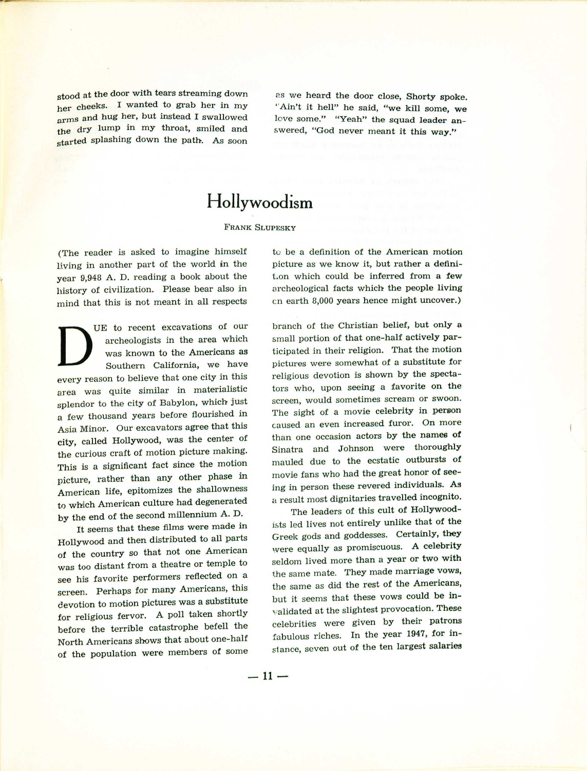stood at the door with tears streaming down her cheeks. I wanted to grab her in my arms and hug her, but instead I swallowed the dry lump in my throat, smiled and started splashing down the path. As soon

2S we heard the door close, Shorty spoke. "Ain't it hell" he said, "we kill some, we love some." "Yeah" the squad leader answered, "God never meant it this way."

## **Hollywoodism**

## FRANK SLUPESKY

(The reader is asked to imagine himself Iiving in another part of the world in the year 9,948 A. D. reading a book about the history of civilization. Please bear also in mind that this is not meant in all respects

 $\overline{\mathbf{D}}$ UE to recent excavations of our archeologists in the area which was known to the Americans as Southern California, we have every reason to believe that one city in this area was quite similar in materialistic splendor to the city of Babylon, which just a few thousand years before flourished in Asia Minor. Our excavators agree that this city, called Hollywood, was the center of the curious craft of motion picture making. This is a significant fact since the motion picture, rather than any other phase in American life, epitomizes the shallowness to which American culture had degenerated by the end of the second millennium A. D.

It seems that these films were made in Hollywood and then distributed to all parts of the country so that not one American was too distant from a theatre or temple to see his favorite performers reflected on a screen. Perhaps for many Americans, this devotion to motion pictures was a substitute for religious fervor. A poll taken shortly before the terrible catastrophe befell the North Americans shows that about one-half of the population were members of some

to be a definition of the American motion picture as we know it, but rather a defini-Lon which could be inferred from a few archeological facts which the people living en earth 8,000 years hence might uncover.)

branch of the Christian belief, but only a small portion of that one-half actively participated in their religion. That the motion pictures were somewhat of a substitute for religious devotion is shown by the spectators who, upon seeing a favorite on the screen, would sometimes scream or swoon. The sight of a movie celebrity in person caused an even increased furor. On more than one occasion actors by the names **of** Sinatra and Johnson were thoroughly mauled due to the ecstatic outbursts of movie fans who had the great honor of seeing in person these revered individuals. As a result most dignitaries travelled incognito.

The leaders of this cult of Hollywoodists led lives not entirely unlike that of the Greek gods and goddesses. Certainly, they were equally as promiscuous. A celebrity seldom lived more than a year or two with the same mate. They made marriage vows, the same as did the rest of the Americans, but it seems that these vows could be invalidated at the slightest provocation. These celebrities were given by their patrons fabulous riches. In the year 1947, for instance, seven out of the ten largest salaries

 $-11-$